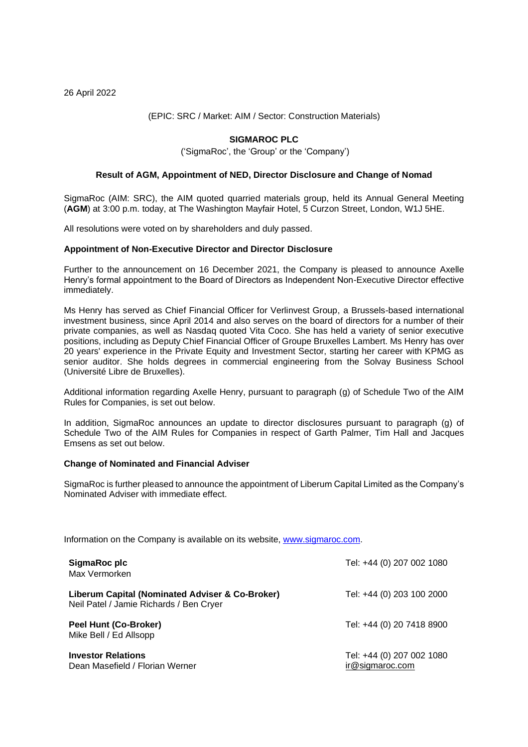26 April 2022

# (EPIC: SRC / Market: AIM / Sector: Construction Materials)

# **SIGMAROC PLC**

('SigmaRoc', the 'Group' or the 'Company')

## **Result of AGM, Appointment of NED, Director Disclosure and Change of Nomad**

SigmaRoc (AIM: SRC), the AIM quoted quarried materials group, held its Annual General Meeting (**AGM**) at 3:00 p.m. today, at The Washington Mayfair Hotel, 5 Curzon Street, London, W1J 5HE.

All resolutions were voted on by shareholders and duly passed.

#### **Appointment of Non-Executive Director and Director Disclosure**

Further to the announcement on 16 December 2021, the Company is pleased to announce Axelle Henry's formal appointment to the Board of Directors as Independent Non-Executive Director effective immediately.

Ms Henry has served as Chief Financial Officer for Verlinvest Group, a Brussels-based international investment business, since April 2014 and also serves on the board of directors for a number of their private companies, as well as Nasdaq quoted Vita Coco. She has held a variety of senior executive positions, including as Deputy Chief Financial Officer of Groupe Bruxelles Lambert. Ms Henry has over 20 years' experience in the Private Equity and Investment Sector, starting her career with KPMG as senior auditor. She holds degrees in commercial engineering from the Solvay Business School (Université Libre de Bruxelles).

Additional information regarding Axelle Henry, pursuant to paragraph (g) of Schedule Two of the AIM Rules for Companies, is set out below.

In addition, SigmaRoc announces an update to director disclosures pursuant to paragraph (g) of Schedule Two of the AIM Rules for Companies in respect of Garth Palmer, Tim Hall and Jacques Emsens as set out below.

#### **Change of Nominated and Financial Adviser**

SigmaRoc is further pleased to announce the appointment of Liberum Capital Limited as the Company's Nominated Adviser with immediate effect.

Information on the Company is available on its website, [www.sigmaroc.com.](http://www.sigmaroc.com/)

| SigmaRoc plc<br>Max Vermorken                                                              | Tel: +44 (0) 207 002 1080                    |
|--------------------------------------------------------------------------------------------|----------------------------------------------|
| Liberum Capital (Nominated Adviser & Co-Broker)<br>Neil Patel / Jamie Richards / Ben Cryer | Tel: +44 (0) 203 100 2000                    |
| <b>Peel Hunt (Co-Broker)</b><br>Mike Bell / Ed Allsopp                                     | Tel: +44 (0) 20 7418 8900                    |
| <b>Investor Relations</b><br>Dean Masefield / Florian Werner                               | Tel: +44 (0) 207 002 1080<br>ir@sigmaroc.com |